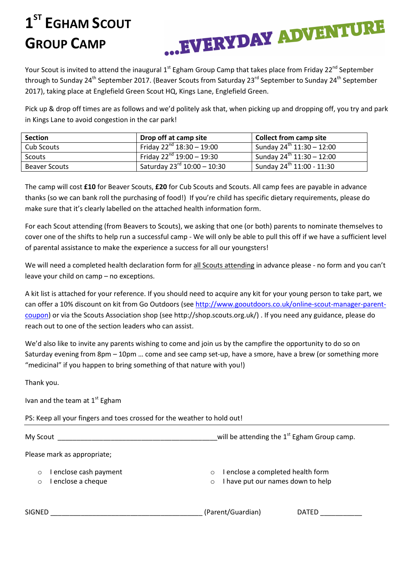## **1 ST EGHAM SCOUT GROUP CAMP**



Your Scout is invited to attend the inaugural 1<sup>st</sup> Egham Group Camp that takes place from Friday 22<sup>nd</sup> September through to Sunday 24<sup>th</sup> September 2017. (Beaver Scouts from Saturday 23<sup>rd</sup> September to Sunday 24<sup>th</sup> September 2017), taking place at Englefield Green Scout HQ, Kings Lane, Englefield Green.

Pick up & drop off times are as follows and we'd politely ask that, when picking up and dropping off, you try and park in Kings Lane to avoid congestion in the car park!

| <b>Section</b>       | Drop off at camp site                   | <b>Collect from camp site</b>         |
|----------------------|-----------------------------------------|---------------------------------------|
| Cub Scouts           | Friday $22^{nd}$ 18:30 - 19:00          | Sunday $24^{\text{th}}$ 11:30 - 12:00 |
| Scouts               | Friday $22^{nd}$ 19:00 - 19:30          | Sunday $24^{th}$ 11:30 - 12:00        |
| <b>Beaver Scouts</b> | Saturday 23 <sup>rd</sup> 10:00 - 10:30 | Sunday 24 <sup>th</sup> 11:00 - 11:30 |

The camp will cost **£10** for Beaver Scouts, **£20** for Cub Scouts and Scouts. All camp fees are payable in advance thanks (so we can bank roll the purchasing of food!) If you're child has specific dietary requirements, please do make sure that it's clearly labelled on the attached health information form.

For each Scout attending (from Beavers to Scouts), we asking that one (or both) parents to nominate themselves to cover one of the shifts to help run a successful camp - We will only be able to pull this off if we have a sufficient level of parental assistance to make the experience a success for all our youngsters!

We will need a completed health declaration form for all Scouts attending in advance please - no form and you can't leave your child on camp – no exceptions.

A kit list is attached for your reference. If you should need to acquire any kit for your young person to take part, we can offer a 10% discount on kit from Go Outdoors (see http://www.gooutdoors.co.uk/online-scout-manager-parentcoupon) or via the Scouts Association shop (see http://shop.scouts.org.uk/) . If you need any guidance, please do reach out to one of the section leaders who can assist.

We'd also like to invite any parents wishing to come and join us by the campfire the opportunity to do so on Saturday evening from 8pm – 10pm … come and see camp set-up, have a smore, have a brew (or something more "medicinal" if you happen to bring something of that nature with you!)

Thank you.

Ivan and the team at  $1<sup>st</sup>$  Egham

PS: Keep all your fingers and toes crossed for the weather to hold out!

| My Scout                                 | will be attending the 1 <sup>st</sup> Egham Group camp.                                       |  |
|------------------------------------------|-----------------------------------------------------------------------------------------------|--|
| Please mark as appropriate;              |                                                                                               |  |
| enclose cash payment<br>enclose a cheque | I enclose a completed health form<br>$\circ$<br>I have put our names down to help<br>$\Omega$ |  |
| <b>SIGNED</b>                            | (Parent/Guardian)<br>DATED                                                                    |  |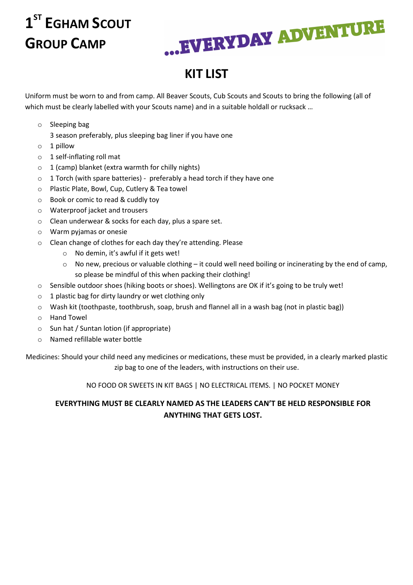# **1 ST EGHAM SCOUT GROUP CAMP**



## **KIT LIST**

Uniform must be worn to and from camp. All Beaver Scouts, Cub Scouts and Scouts to bring the following (all of which must be clearly labelled with your Scouts name) and in a suitable holdall or rucksack ...

o Sleeping bag

3 season preferably, plus sleeping bag liner if you have one

- o 1 pillow
- o 1 self-inflating roll mat
- $\circ$  1 (camp) blanket (extra warmth for chilly nights)
- $\circ$  1 Torch (with spare batteries) preferably a head torch if they have one
- o Plastic Plate, Bowl, Cup, Cutlery & Tea towel
- o Book or comic to read & cuddly toy
- o Waterproof jacket and trousers
- o Clean underwear & socks for each day, plus a spare set.
- o Warm pyjamas or onesie
- o Clean change of clothes for each day they're attending. Please
	- o No demin, it's awful if it gets wet!
	- o No new, precious or valuable clothing it could well need boiling or incinerating by the end of camp, so please be mindful of this when packing their clothing!
- $\circ$  Sensible outdoor shoes (hiking boots or shoes). Wellingtons are OK if it's going to be truly wet!
- $\circ$  1 plastic bag for dirty laundry or wet clothing only
- o Wash kit (toothpaste, toothbrush, soap, brush and flannel all in a wash bag (not in plastic bag))
- o Hand Towel
- o Sun hat / Suntan lotion (if appropriate)
- o Named refillable water bottle

Medicines: Should your child need any medicines or medications, these must be provided, in a clearly marked plastic zip bag to one of the leaders, with instructions on their use.

NO FOOD OR SWEETS IN KIT BAGS | NO ELECTRICAL ITEMS. | NO POCKET MONEY

#### **EVERYTHING MUST BE CLEARLY NAMED AS THE LEADERS CAN'T BE HELD RESPONSIBLE FOR ANYTHING THAT GETS LOST.**